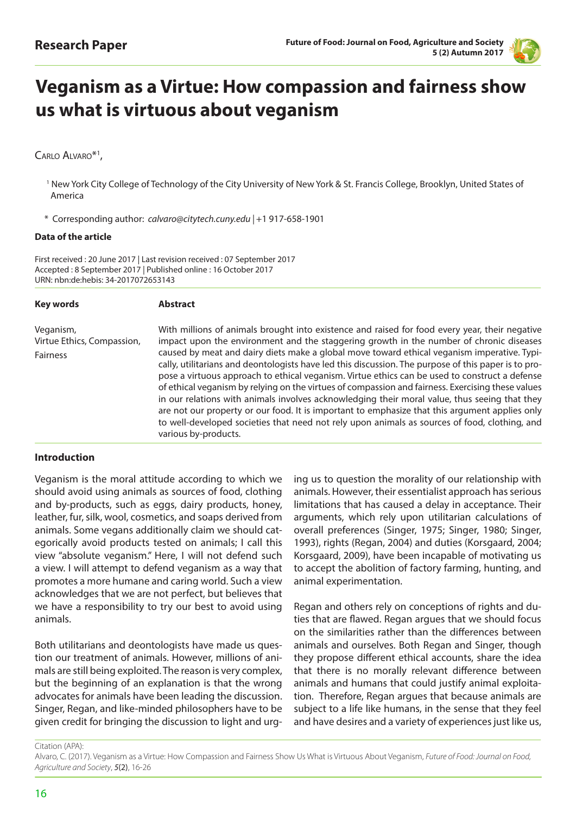

# **Veganism as a Virtue: How compassion and fairness show us what is virtuous about veganism**

# CARLO ALVARO<sup>\*1</sup>,

- <sup>1</sup> New York City College of Technology of the City University of New York & St. Francis College, Brooklyn, United States of America
- \* Corresponding author: *calvaro@citytech.cuny.edu |* +1 917-658-1901

#### **Data of the article**

First received : 20 June 2017 | Last revision received : 07 September 2017 Accepted : 8 September 2017 | Published online : 16 October 2017 URN: nbn:de:hebis: 34-2017072653143

| <b>Key words</b>                                    | <b>Abstract</b>                                                                                                                                                                                                                                                                                                                                                                                                                                                                                                                                                                                                                                                                                                                                                                                                                                                                                                                     |
|-----------------------------------------------------|-------------------------------------------------------------------------------------------------------------------------------------------------------------------------------------------------------------------------------------------------------------------------------------------------------------------------------------------------------------------------------------------------------------------------------------------------------------------------------------------------------------------------------------------------------------------------------------------------------------------------------------------------------------------------------------------------------------------------------------------------------------------------------------------------------------------------------------------------------------------------------------------------------------------------------------|
| Veganism,<br>Virtue Ethics, Compassion,<br>Fairness | With millions of animals brought into existence and raised for food every year, their negative<br>impact upon the environment and the staggering growth in the number of chronic diseases<br>caused by meat and dairy diets make a global move toward ethical veganism imperative. Typi-<br>cally, utilitarians and deontologists have led this discussion. The purpose of this paper is to pro-<br>pose a virtuous approach to ethical veganism. Virtue ethics can be used to construct a defense<br>of ethical veganism by relying on the virtues of compassion and fairness. Exercising these values<br>in our relations with animals involves acknowledging their moral value, thus seeing that they<br>are not our property or our food. It is important to emphasize that this argument applies only<br>to well-developed societies that need not rely upon animals as sources of food, clothing, and<br>various by-products. |
|                                                     |                                                                                                                                                                                                                                                                                                                                                                                                                                                                                                                                                                                                                                                                                                                                                                                                                                                                                                                                     |

#### **Introduction**

Veganism is the moral attitude according to which we should avoid using animals as sources of food, clothing and by-products, such as eggs, dairy products, honey, leather, fur, silk, wool, cosmetics, and soaps derived from animals. Some vegans additionally claim we should categorically avoid products tested on animals; I call this view "absolute veganism." Here, I will not defend such a view. I will attempt to defend veganism as a way that promotes a more humane and caring world. Such a view acknowledges that we are not perfect, but believes that we have a responsibility to try our best to avoid using animals.

Both utilitarians and deontologists have made us question our treatment of animals. However, millions of animals are still being exploited. The reason is very complex, but the beginning of an explanation is that the wrong advocates for animals have been leading the discussion. Singer, Regan, and like-minded philosophers have to be given credit for bringing the discussion to light and urging us to question the morality of our relationship with animals. However, their essentialist approach has serious limitations that has caused a delay in acceptance. Their arguments, which rely upon utilitarian calculations of overall preferences (Singer, 1975; Singer, 1980; Singer, 1993), rights (Regan, 2004) and duties (Korsgaard, 2004; Korsgaard, 2009), have been incapable of motivating us to accept the abolition of factory farming, hunting, and animal experimentation.

Regan and others rely on conceptions of rights and duties that are flawed. Regan argues that we should focus on the similarities rather than the differences between animals and ourselves. Both Regan and Singer, though they propose different ethical accounts, share the idea that there is no morally relevant difference between animals and humans that could justify animal exploitation. Therefore, Regan argues that because animals are subject to a life like humans, in the sense that they feel and have desires and a variety of experiences just like us,

Citation (APA):

Alvaro, C. (2017). Veganism as a Virtue: How Compassion and Fairness Show Us What is Virtuous About Veganism, *Future of Food: Journal on Food, Agriculture and Society*, *5*(2), 16-26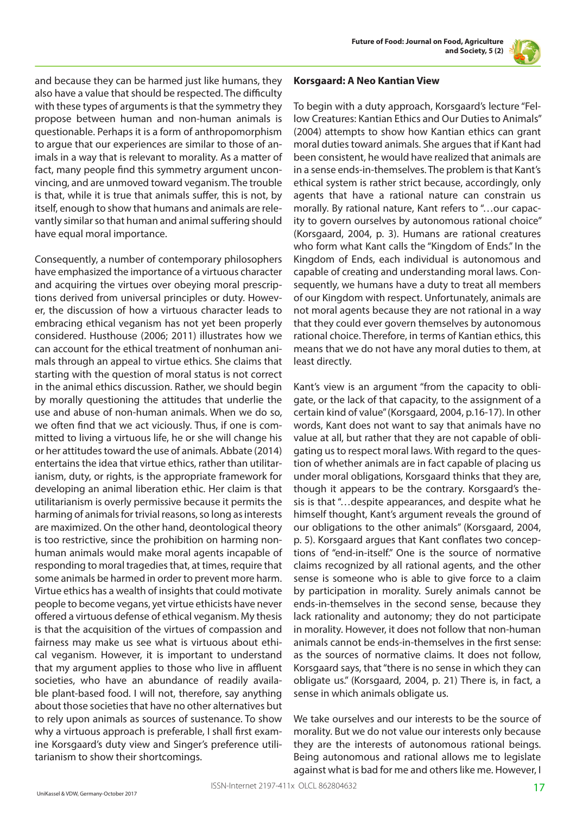and because they can be harmed just like humans, they also have a value that should be respected. The difficulty with these types of arguments is that the symmetry they propose between human and non-human animals is questionable. Perhaps it is a form of anthropomorphism to argue that our experiences are similar to those of animals in a way that is relevant to morality. As a matter of fact, many people find this symmetry argument unconvincing, and are unmoved toward veganism. The trouble is that, while it is true that animals suffer, this is not, by itself, enough to show that humans and animals are relevantly similar so that human and animal suffering should have equal moral importance.

Consequently, a number of contemporary philosophers have emphasized the importance of a virtuous character and acquiring the virtues over obeying moral prescriptions derived from universal principles or duty. However, the discussion of how a virtuous character leads to embracing ethical veganism has not yet been properly considered. Husthouse (2006; 2011) illustrates how we can account for the ethical treatment of nonhuman animals through an appeal to virtue ethics. She claims that starting with the question of moral status is not correct in the animal ethics discussion. Rather, we should begin by morally questioning the attitudes that underlie the use and abuse of non-human animals. When we do so, we often find that we act viciously. Thus, if one is committed to living a virtuous life, he or she will change his or her attitudes toward the use of animals. Abbate (2014) entertains the idea that virtue ethics, rather than utilitarianism, duty, or rights, is the appropriate framework for developing an animal liberation ethic. Her claim is that utilitarianism is overly permissive because it permits the harming of animals for trivial reasons, so long as interests are maximized. On the other hand, deontological theory is too restrictive, since the prohibition on harming nonhuman animals would make moral agents incapable of responding to moral tragedies that, at times, require that some animals be harmed in order to prevent more harm. Virtue ethics has a wealth of insights that could motivate people to become vegans, yet virtue ethicists have never offered a virtuous defense of ethical veganism. My thesis is that the acquisition of the virtues of compassion and fairness may make us see what is virtuous about ethical veganism. However, it is important to understand that my argument applies to those who live in affluent societies, who have an abundance of readily available plant-based food. I will not, therefore, say anything about those societies that have no other alternatives but to rely upon animals as sources of sustenance. To show why a virtuous approach is preferable, I shall first examine Korsgaard's duty view and Singer's preference utilitarianism to show their shortcomings.

#### **Korsgaard: A Neo Kantian View**

To begin with a duty approach, Korsgaard's lecture "Fellow Creatures: Kantian Ethics and Our Duties to Animals" (2004) attempts to show how Kantian ethics can grant moral duties toward animals. She argues that if Kant had been consistent, he would have realized that animals are in a sense ends-in-themselves. The problem is that Kant's ethical system is rather strict because, accordingly, only agents that have a rational nature can constrain us morally. By rational nature, Kant refers to "…our capacity to govern ourselves by autonomous rational choice" (Korsgaard, 2004, p. 3). Humans are rational creatures who form what Kant calls the "Kingdom of Ends." In the Kingdom of Ends, each individual is autonomous and capable of creating and understanding moral laws. Consequently, we humans have a duty to treat all members of our Kingdom with respect. Unfortunately, animals are not moral agents because they are not rational in a way that they could ever govern themselves by autonomous rational choice. Therefore, in terms of Kantian ethics, this means that we do not have any moral duties to them, at least directly.

Kant's view is an argument "from the capacity to obligate, or the lack of that capacity, to the assignment of a certain kind of value" (Korsgaard, 2004, p.16-17). In other words, Kant does not want to say that animals have no value at all, but rather that they are not capable of obligating us to respect moral laws. With regard to the question of whether animals are in fact capable of placing us under moral obligations, Korsgaard thinks that they are, though it appears to be the contrary. Korsgaard's thesis is that "…despite appearances, and despite what he himself thought, Kant's argument reveals the ground of our obligations to the other animals" (Korsgaard, 2004, p. 5). Korsgaard argues that Kant conflates two conceptions of "end-in-itself." One is the source of normative claims recognized by all rational agents, and the other sense is someone who is able to give force to a claim by participation in morality. Surely animals cannot be ends-in-themselves in the second sense, because they lack rationality and autonomy; they do not participate in morality. However, it does not follow that non-human animals cannot be ends-in-themselves in the first sense: as the sources of normative claims. It does not follow, Korsgaard says, that "there is no sense in which they can obligate us." (Korsgaard, 2004, p. 21) There is, in fact, a sense in which animals obligate us.

We take ourselves and our interests to be the source of morality. But we do not value our interests only because they are the interests of autonomous rational beings. Being autonomous and rational allows me to legislate against what is bad for me and others like me. However, I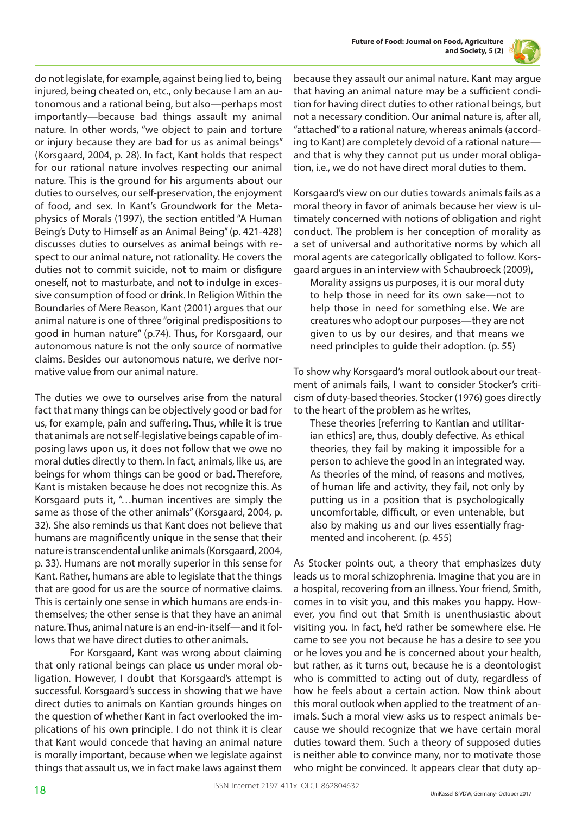

do not legislate, for example, against being lied to, being injured, being cheated on, etc., only because I am an autonomous and a rational being, but also—perhaps most importantly—because bad things assault my animal nature. In other words, "we object to pain and torture or injury because they are bad for us as animal beings" (Korsgaard, 2004, p. 28). In fact, Kant holds that respect for our rational nature involves respecting our animal nature. This is the ground for his arguments about our duties to ourselves, our self-preservation, the enjoyment of food, and sex. In Kant's Groundwork for the Metaphysics of Morals (1997), the section entitled "A Human Being's Duty to Himself as an Animal Being" (p. 421-428) discusses duties to ourselves as animal beings with respect to our animal nature, not rationality. He covers the duties not to commit suicide, not to maim or disfigure oneself, not to masturbate, and not to indulge in excessive consumption of food or drink. In Religion Within the Boundaries of Mere Reason, Kant (2001) argues that our animal nature is one of three "original predispositions to good in human nature" (p.74). Thus, for Korsgaard, our autonomous nature is not the only source of normative claims. Besides our autonomous nature, we derive normative value from our animal nature.

The duties we owe to ourselves arise from the natural fact that many things can be objectively good or bad for us, for example, pain and suffering. Thus, while it is true that animals are not self-legislative beings capable of imposing laws upon us, it does not follow that we owe no moral duties directly to them. In fact, animals, like us, are beings for whom things can be good or bad. Therefore, Kant is mistaken because he does not recognize this. As Korsgaard puts it, "…human incentives are simply the same as those of the other animals" (Korsgaard, 2004, p. 32). She also reminds us that Kant does not believe that humans are magnificently unique in the sense that their nature is transcendental unlike animals (Korsgaard, 2004, p. 33). Humans are not morally superior in this sense for Kant. Rather, humans are able to legislate that the things that are good for us are the source of normative claims. This is certainly one sense in which humans are ends-inthemselves; the other sense is that they have an animal nature. Thus, animal nature is an end-in-itself—and it follows that we have direct duties to other animals.

 For Korsgaard, Kant was wrong about claiming that only rational beings can place us under moral obligation. However, I doubt that Korsgaard's attempt is successful. Korsgaard's success in showing that we have direct duties to animals on Kantian grounds hinges on the question of whether Kant in fact overlooked the implications of his own principle. I do not think it is clear that Kant would concede that having an animal nature is morally important, because when we legislate against things that assault us, we in fact make laws against them because they assault our animal nature. Kant may argue that having an animal nature may be a sufficient condition for having direct duties to other rational beings, but not a necessary condition. Our animal nature is, after all, "attached" to a rational nature, whereas animals (according to Kant) are completely devoid of a rational nature and that is why they cannot put us under moral obligation, i.e., we do not have direct moral duties to them.

Korsgaard's view on our duties towards animals fails as a moral theory in favor of animals because her view is ultimately concerned with notions of obligation and right conduct. The problem is her conception of morality as a set of universal and authoritative norms by which all moral agents are categorically obligated to follow. Korsgaard argues in an interview with Schaubroeck (2009),

Morality assigns us purposes, it is our moral duty to help those in need for its own sake—not to help those in need for something else. We are creatures who adopt our purposes—they are not given to us by our desires, and that means we need principles to guide their adoption. (p. 55)

To show why Korsgaard's moral outlook about our treatment of animals fails, I want to consider Stocker's criticism of duty-based theories. Stocker (1976) goes directly to the heart of the problem as he writes,

These theories [referring to Kantian and utilitarian ethics] are, thus, doubly defective. As ethical theories, they fail by making it impossible for a person to achieve the good in an integrated way. As theories of the mind, of reasons and motives, of human life and activity, they fail, not only by putting us in a position that is psychologically uncomfortable, difficult, or even untenable, but also by making us and our lives essentially fragmented and incoherent. (p. 455)

As Stocker points out, a theory that emphasizes duty leads us to moral schizophrenia. Imagine that you are in a hospital, recovering from an illness. Your friend, Smith, comes in to visit you, and this makes you happy. However, you find out that Smith is unenthusiastic about visiting you. In fact, he'd rather be somewhere else. He came to see you not because he has a desire to see you or he loves you and he is concerned about your health, but rather, as it turns out, because he is a deontologist who is committed to acting out of duty, regardless of how he feels about a certain action. Now think about this moral outlook when applied to the treatment of animals. Such a moral view asks us to respect animals because we should recognize that we have certain moral duties toward them. Such a theory of supposed duties is neither able to convince many, nor to motivate those who might be convinced. It appears clear that duty ap-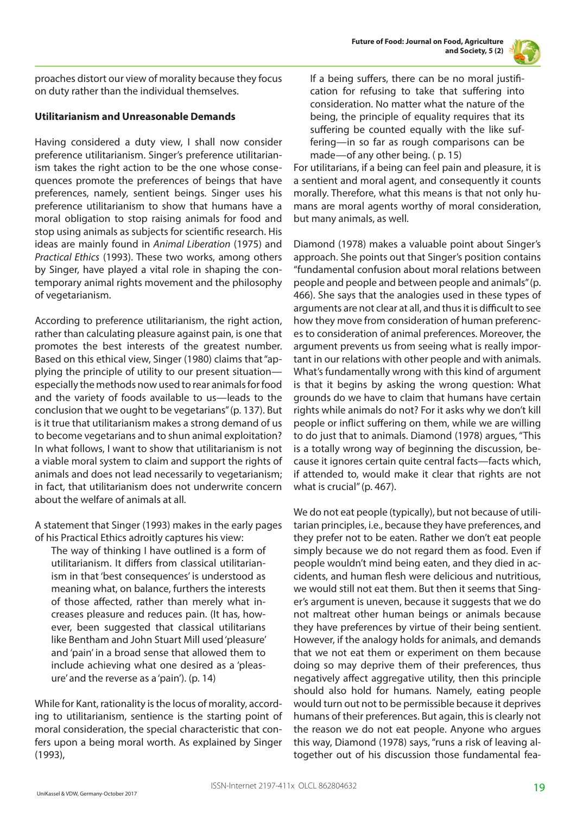

proaches distort our view of morality because they focus on duty rather than the individual themselves.

# **Utilitarianism and Unreasonable Demands**

Having considered a duty view, I shall now consider preference utilitarianism. Singer's preference utilitarianism takes the right action to be the one whose consequences promote the preferences of beings that have preferences, namely, sentient beings. Singer uses his preference utilitarianism to show that humans have a moral obligation to stop raising animals for food and stop using animals as subjects for scientific research. His ideas are mainly found in *Animal Liberation* (1975) and *Practical Ethics* (1993). These two works, among others by Singer, have played a vital role in shaping the contemporary animal rights movement and the philosophy of vegetarianism.

According to preference utilitarianism, the right action, rather than calculating pleasure against pain, is one that promotes the best interests of the greatest number. Based on this ethical view, Singer (1980) claims that "applying the principle of utility to our present situation especially the methods now used to rear animals for food and the variety of foods available to us—leads to the conclusion that we ought to be vegetarians" (p. 137). But is it true that utilitarianism makes a strong demand of us to become vegetarians and to shun animal exploitation? In what follows, I want to show that utilitarianism is not a viable moral system to claim and support the rights of animals and does not lead necessarily to vegetarianism; in fact, that utilitarianism does not underwrite concern about the welfare of animals at all.

A statement that Singer (1993) makes in the early pages of his Practical Ethics adroitly captures his view:

The way of thinking I have outlined is a form of utilitarianism. It differs from classical utilitarianism in that 'best consequences' is understood as meaning what, on balance, furthers the interests of those affected, rather than merely what increases pleasure and reduces pain. (It has, however, been suggested that classical utilitarians like Bentham and John Stuart Mill used 'pleasure' and 'pain' in a broad sense that allowed them to include achieving what one desired as a 'pleasure' and the reverse as a 'pain'). (p. 14)

While for Kant, rationality is the locus of morality, according to utilitarianism, sentience is the starting point of moral consideration, the special characteristic that confers upon a being moral worth. As explained by Singer (1993),

If a being suffers, there can be no moral justification for refusing to take that suffering into consideration. No matter what the nature of the being, the principle of equality requires that its suffering be counted equally with the like suffering—in so far as rough comparisons can be made—of any other being. ( p. 15)

For utilitarians, if a being can feel pain and pleasure, it is a sentient and moral agent, and consequently it counts morally. Therefore, what this means is that not only humans are moral agents worthy of moral consideration, but many animals, as well.

Diamond (1978) makes a valuable point about Singer's approach. She points out that Singer's position contains "fundamental confusion about moral relations between people and people and between people and animals" (p. 466). She says that the analogies used in these types of arguments are not clear at all, and thus it is difficult to see how they move from consideration of human preferences to consideration of animal preferences. Moreover, the argument prevents us from seeing what is really important in our relations with other people and with animals. What's fundamentally wrong with this kind of argument is that it begins by asking the wrong question: What grounds do we have to claim that humans have certain rights while animals do not? For it asks why we don't kill people or inflict suffering on them, while we are willing to do just that to animals. Diamond (1978) argues, "This is a totally wrong way of beginning the discussion, because it ignores certain quite central facts—facts which, if attended to, would make it clear that rights are not what is crucial" (p. 467).

We do not eat people (typically), but not because of utilitarian principles, i.e., because they have preferences, and they prefer not to be eaten. Rather we don't eat people simply because we do not regard them as food. Even if people wouldn't mind being eaten, and they died in accidents, and human flesh were delicious and nutritious, we would still not eat them. But then it seems that Singer's argument is uneven, because it suggests that we do not maltreat other human beings or animals because they have preferences by virtue of their being sentient. However, if the analogy holds for animals, and demands that we not eat them or experiment on them because doing so may deprive them of their preferences, thus negatively affect aggregative utility, then this principle should also hold for humans. Namely, eating people would turn out not to be permissible because it deprives humans of their preferences. But again, this is clearly not the reason we do not eat people. Anyone who argues this way, Diamond (1978) says, "runs a risk of leaving altogether out of his discussion those fundamental fea-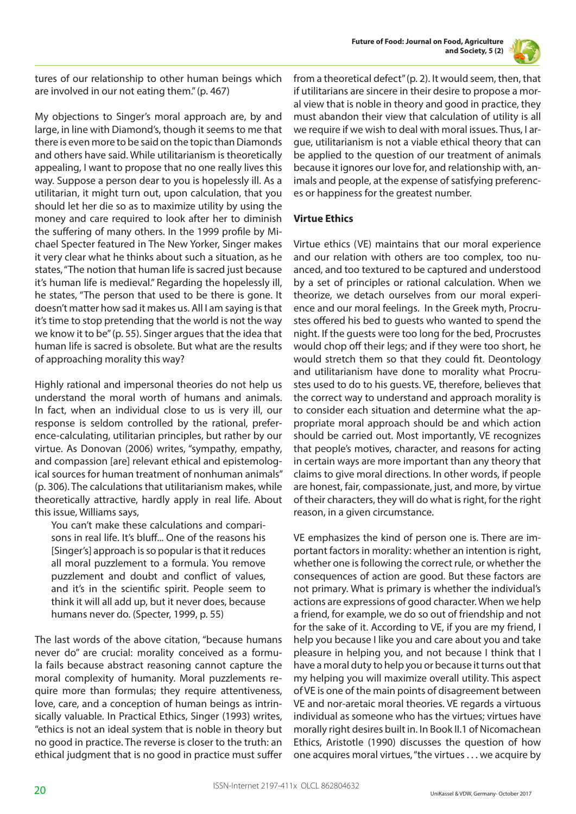

tures of our relationship to other human beings which are involved in our not eating them." (p. 467)

My objections to Singer's moral approach are, by and large, in line with Diamond's, though it seems to me that there is even more to be said on the topic than Diamonds and others have said. While utilitarianism is theoretically appealing, I want to propose that no one really lives this way. Suppose a person dear to you is hopelessly ill. As a utilitarian, it might turn out, upon calculation, that you should let her die so as to maximize utility by using the money and care required to look after her to diminish the suffering of many others. In the 1999 profile by Michael Specter featured in The New Yorker, Singer makes it very clear what he thinks about such a situation, as he states, "The notion that human life is sacred just because it's human life is medieval." Regarding the hopelessly ill, he states, "The person that used to be there is gone. It doesn't matter how sad it makes us. All I am saying is that it's time to stop pretending that the world is not the way we know it to be" (p. 55). Singer argues that the idea that human life is sacred is obsolete. But what are the results of approaching morality this way?

Highly rational and impersonal theories do not help us understand the moral worth of humans and animals. In fact, when an individual close to us is very ill, our response is seldom controlled by the rational, preference-calculating, utilitarian principles, but rather by our virtue. As Donovan (2006) writes, "sympathy, empathy, and compassion [are] relevant ethical and epistemological sources for human treatment of nonhuman animals" (p. 306). The calculations that utilitarianism makes, while theoretically attractive, hardly apply in real life. About this issue, Williams says,

You can't make these calculations and comparisons in real life. It's bluff... One of the reasons his [Singer's] approach is so popular is that it reduces all moral puzzlement to a formula. You remove puzzlement and doubt and conflict of values, and it's in the scientific spirit. People seem to think it will all add up, but it never does, because humans never do. (Specter, 1999, p. 55)

The last words of the above citation, "because humans never do" are crucial: morality conceived as a formula fails because abstract reasoning cannot capture the moral complexity of humanity. Moral puzzlements require more than formulas; they require attentiveness, love, care, and a conception of human beings as intrinsically valuable. In Practical Ethics, Singer (1993) writes, "ethics is not an ideal system that is noble in theory but no good in practice. The reverse is closer to the truth: an ethical judgment that is no good in practice must suffer

from a theoretical defect" (p. 2). It would seem, then, that if utilitarians are sincere in their desire to propose a moral view that is noble in theory and good in practice, they must abandon their view that calculation of utility is all we require if we wish to deal with moral issues. Thus, I argue, utilitarianism is not a viable ethical theory that can be applied to the question of our treatment of animals because it ignores our love for, and relationship with, animals and people, at the expense of satisfying preferences or happiness for the greatest number.

# **Virtue Ethics**

Virtue ethics (VE) maintains that our moral experience and our relation with others are too complex, too nuanced, and too textured to be captured and understood by a set of principles or rational calculation. When we theorize, we detach ourselves from our moral experience and our moral feelings. In the Greek myth, Procrustes offered his bed to guests who wanted to spend the night. If the guests were too long for the bed, Procrustes would chop off their legs; and if they were too short, he would stretch them so that they could fit. Deontology and utilitarianism have done to morality what Procrustes used to do to his guests. VE, therefore, believes that the correct way to understand and approach morality is to consider each situation and determine what the appropriate moral approach should be and which action should be carried out. Most importantly, VE recognizes that people's motives, character, and reasons for acting in certain ways are more important than any theory that claims to give moral directions. In other words, if people are honest, fair, compassionate, just, and more, by virtue of their characters, they will do what is right, for the right reason, in a given circumstance.

VE emphasizes the kind of person one is. There are important factors in morality: whether an intention is right, whether one is following the correct rule, or whether the consequences of action are good. But these factors are not primary. What is primary is whether the individual's actions are expressions of good character. When we help a friend, for example, we do so out of friendship and not for the sake of it. According to VE, if you are my friend, I help you because I like you and care about you and take pleasure in helping you, and not because I think that I have a moral duty to help you or because it turns out that my helping you will maximize overall utility. This aspect of VE is one of the main points of disagreement between VE and nor-aretaic moral theories. VE regards a virtuous individual as someone who has the virtues; virtues have morally right desires built in. In Book II.1 of Nicomachean Ethics, Aristotle (1990) discusses the question of how one acquires moral virtues, "the virtues . . . we acquire by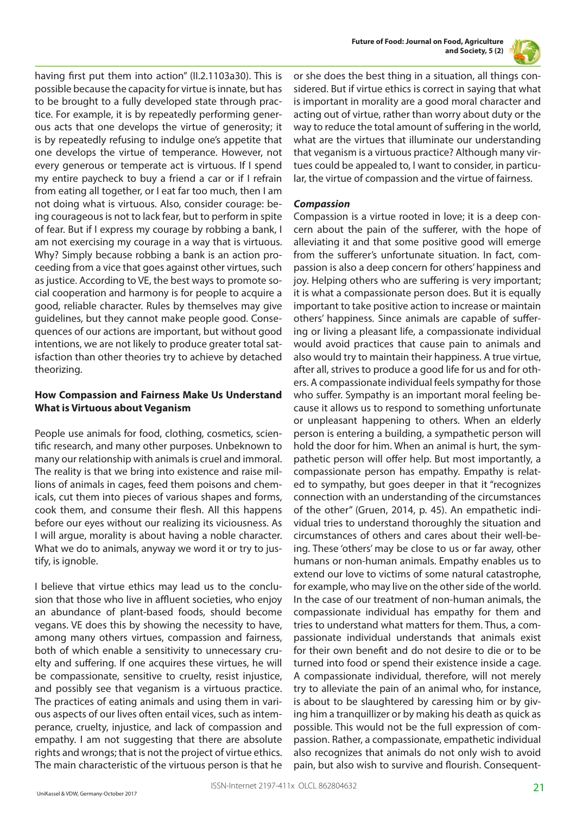



having first put them into action" (II.2.1103a30). This is possible because the capacity for virtue is innate, but has to be brought to a fully developed state through practice. For example, it is by repeatedly performing generous acts that one develops the virtue of generosity; it is by repeatedly refusing to indulge one's appetite that one develops the virtue of temperance. However, not every generous or temperate act is virtuous. If I spend my entire paycheck to buy a friend a car or if I refrain from eating all together, or I eat far too much, then I am not doing what is virtuous. Also, consider courage: being courageous is not to lack fear, but to perform in spite of fear. But if I express my courage by robbing a bank, I am not exercising my courage in a way that is virtuous. Why? Simply because robbing a bank is an action proceeding from a vice that goes against other virtues, such as justice. According to VE, the best ways to promote social cooperation and harmony is for people to acquire a good, reliable character. Rules by themselves may give guidelines, but they cannot make people good. Consequences of our actions are important, but without good intentions, we are not likely to produce greater total satisfaction than other theories try to achieve by detached theorizing.

# **How Compassion and Fairness Make Us Understand What is Virtuous about Veganism**

People use animals for food, clothing, cosmetics, scientific research, and many other purposes. Unbeknown to many our relationship with animals is cruel and immoral. The reality is that we bring into existence and raise millions of animals in cages, feed them poisons and chemicals, cut them into pieces of various shapes and forms, cook them, and consume their flesh. All this happens before our eyes without our realizing its viciousness. As I will argue, morality is about having a noble character. What we do to animals, anyway we word it or try to justify, is ignoble.

I believe that virtue ethics may lead us to the conclusion that those who live in affluent societies, who enjoy an abundance of plant-based foods, should become vegans. VE does this by showing the necessity to have, among many others virtues, compassion and fairness, both of which enable a sensitivity to unnecessary cruelty and suffering. If one acquires these virtues, he will be compassionate, sensitive to cruelty, resist injustice, and possibly see that veganism is a virtuous practice. The practices of eating animals and using them in various aspects of our lives often entail vices, such as intemperance, cruelty, injustice, and lack of compassion and empathy. I am not suggesting that there are absolute rights and wrongs; that is not the project of virtue ethics. The main characteristic of the virtuous person is that he or she does the best thing in a situation, all things considered. But if virtue ethics is correct in saying that what is important in morality are a good moral character and acting out of virtue, rather than worry about duty or the way to reduce the total amount of suffering in the world, what are the virtues that illuminate our understanding that veganism is a virtuous practice? Although many virtues could be appealed to, I want to consider, in particular, the virtue of compassion and the virtue of fairness.

## *Compassion*

Compassion is a virtue rooted in love; it is a deep concern about the pain of the sufferer, with the hope of alleviating it and that some positive good will emerge from the sufferer's unfortunate situation. In fact, compassion is also a deep concern for others' happiness and joy. Helping others who are suffering is very important; it is what a compassionate person does. But it is equally important to take positive action to increase or maintain others' happiness. Since animals are capable of suffering or living a pleasant life, a compassionate individual would avoid practices that cause pain to animals and also would try to maintain their happiness. A true virtue, after all, strives to produce a good life for us and for others. A compassionate individual feels sympathy for those who suffer. Sympathy is an important moral feeling because it allows us to respond to something unfortunate or unpleasant happening to others. When an elderly person is entering a building, a sympathetic person will hold the door for him. When an animal is hurt, the sympathetic person will offer help. But most importantly, a compassionate person has empathy. Empathy is related to sympathy, but goes deeper in that it "recognizes connection with an understanding of the circumstances of the other" (Gruen, 2014, p. 45). An empathetic individual tries to understand thoroughly the situation and circumstances of others and cares about their well-being. These 'others' may be close to us or far away, other humans or non-human animals. Empathy enables us to extend our love to victims of some natural catastrophe, for example, who may live on the other side of the world. In the case of our treatment of non-human animals, the compassionate individual has empathy for them and tries to understand what matters for them. Thus, a compassionate individual understands that animals exist for their own benefit and do not desire to die or to be turned into food or spend their existence inside a cage. A compassionate individual, therefore, will not merely try to alleviate the pain of an animal who, for instance, is about to be slaughtered by caressing him or by giving him a tranquillizer or by making his death as quick as possible. This would not be the full expression of compassion. Rather, a compassionate, empathetic individual also recognizes that animals do not only wish to avoid pain, but also wish to survive and flourish. Consequent-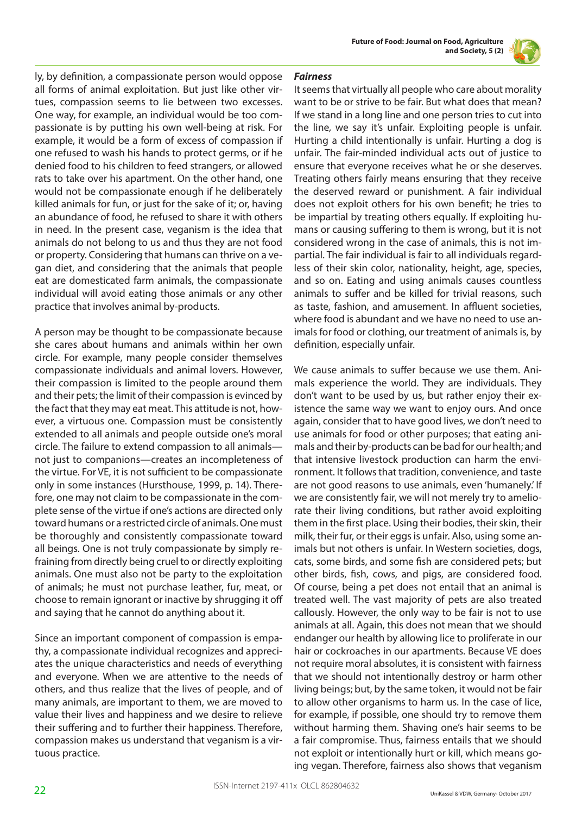

ly, by definition, a compassionate person would oppose all forms of animal exploitation. But just like other virtues, compassion seems to lie between two excesses. One way, for example, an individual would be too compassionate is by putting his own well-being at risk. For example, it would be a form of excess of compassion if one refused to wash his hands to protect germs, or if he denied food to his children to feed strangers, or allowed rats to take over his apartment. On the other hand, one would not be compassionate enough if he deliberately killed animals for fun, or just for the sake of it; or, having an abundance of food, he refused to share it with others in need. In the present case, veganism is the idea that animals do not belong to us and thus they are not food or property. Considering that humans can thrive on a vegan diet, and considering that the animals that people eat are domesticated farm animals, the compassionate individual will avoid eating those animals or any other practice that involves animal by-products.

A person may be thought to be compassionate because she cares about humans and animals within her own circle. For example, many people consider themselves compassionate individuals and animal lovers. However, their compassion is limited to the people around them and their pets; the limit of their compassion is evinced by the fact that they may eat meat. This attitude is not, however, a virtuous one. Compassion must be consistently extended to all animals and people outside one's moral circle. The failure to extend compassion to all animals not just to companions—creates an incompleteness of the virtue. For VE, it is not sufficient to be compassionate only in some instances (Hursthouse, 1999, p. 14). Therefore, one may not claim to be compassionate in the complete sense of the virtue if one's actions are directed only toward humans or a restricted circle of animals. One must be thoroughly and consistently compassionate toward all beings. One is not truly compassionate by simply refraining from directly being cruel to or directly exploiting animals. One must also not be party to the exploitation of animals; he must not purchase leather, fur, meat, or choose to remain ignorant or inactive by shrugging it off and saying that he cannot do anything about it.

Since an important component of compassion is empathy, a compassionate individual recognizes and appreciates the unique characteristics and needs of everything and everyone. When we are attentive to the needs of others, and thus realize that the lives of people, and of many animals, are important to them, we are moved to value their lives and happiness and we desire to relieve their suffering and to further their happiness. Therefore, compassion makes us understand that veganism is a virtuous practice.

# *Fairness*

It seems that virtually all people who care about morality want to be or strive to be fair. But what does that mean? If we stand in a long line and one person tries to cut into the line, we say it's unfair. Exploiting people is unfair. Hurting a child intentionally is unfair. Hurting a dog is unfair. The fair-minded individual acts out of justice to ensure that everyone receives what he or she deserves. Treating others fairly means ensuring that they receive the deserved reward or punishment. A fair individual does not exploit others for his own benefit; he tries to be impartial by treating others equally. If exploiting humans or causing suffering to them is wrong, but it is not considered wrong in the case of animals, this is not impartial. The fair individual is fair to all individuals regardless of their skin color, nationality, height, age, species, and so on. Eating and using animals causes countless animals to suffer and be killed for trivial reasons, such as taste, fashion, and amusement. In affluent societies, where food is abundant and we have no need to use animals for food or clothing, our treatment of animals is, by definition, especially unfair.

We cause animals to suffer because we use them. Animals experience the world. They are individuals. They don't want to be used by us, but rather enjoy their existence the same way we want to enjoy ours. And once again, consider that to have good lives, we don't need to use animals for food or other purposes; that eating animals and their by-products can be bad for our health; and that intensive livestock production can harm the environment. It follows that tradition, convenience, and taste are not good reasons to use animals, even 'humanely.' If we are consistently fair, we will not merely try to ameliorate their living conditions, but rather avoid exploiting them in the first place. Using their bodies, their skin, their milk, their fur, or their eggs is unfair. Also, using some animals but not others is unfair. In Western societies, dogs, cats, some birds, and some fish are considered pets; but other birds, fish, cows, and pigs, are considered food. Of course, being a pet does not entail that an animal is treated well. The vast majority of pets are also treated callously. However, the only way to be fair is not to use animals at all. Again, this does not mean that we should endanger our health by allowing lice to proliferate in our hair or cockroaches in our apartments. Because VE does not require moral absolutes, it is consistent with fairness that we should not intentionally destroy or harm other living beings; but, by the same token, it would not be fair to allow other organisms to harm us. In the case of lice, for example, if possible, one should try to remove them without harming them. Shaving one's hair seems to be a fair compromise. Thus, fairness entails that we should not exploit or intentionally hurt or kill, which means going vegan. Therefore, fairness also shows that veganism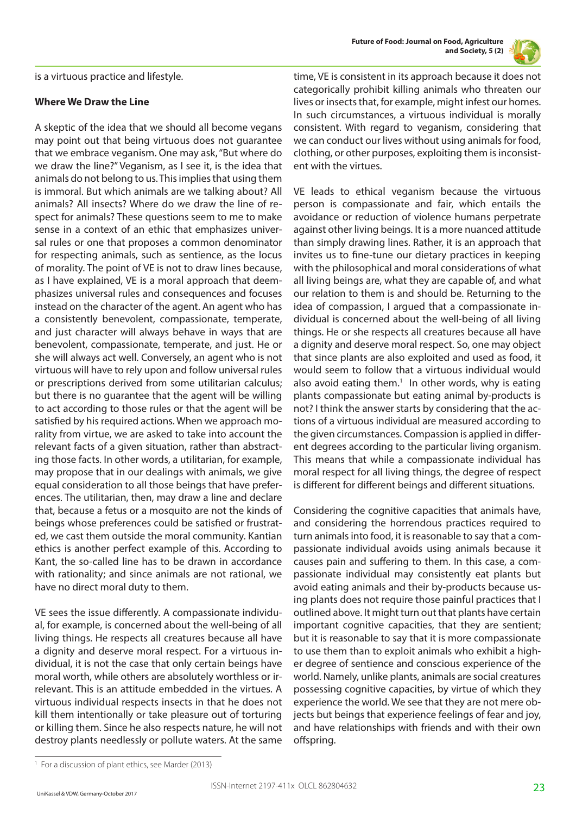

is a virtuous practice and lifestyle.

#### **Where We Draw the Line**

A skeptic of the idea that we should all become vegans may point out that being virtuous does not guarantee that we embrace veganism. One may ask, "But where do we draw the line?" Veganism, as I see it, is the idea that animals do not belong to us. This implies that using them is immoral. But which animals are we talking about? All animals? All insects? Where do we draw the line of respect for animals? These questions seem to me to make sense in a context of an ethic that emphasizes universal rules or one that proposes a common denominator for respecting animals, such as sentience, as the locus of morality. The point of VE is not to draw lines because, as I have explained, VE is a moral approach that deemphasizes universal rules and consequences and focuses instead on the character of the agent. An agent who has a consistently benevolent, compassionate, temperate, and just character will always behave in ways that are benevolent, compassionate, temperate, and just. He or she will always act well. Conversely, an agent who is not virtuous will have to rely upon and follow universal rules or prescriptions derived from some utilitarian calculus; but there is no guarantee that the agent will be willing to act according to those rules or that the agent will be satisfied by his required actions. When we approach morality from virtue, we are asked to take into account the relevant facts of a given situation, rather than abstracting those facts. In other words, a utilitarian, for example, may propose that in our dealings with animals, we give equal consideration to all those beings that have preferences. The utilitarian, then, may draw a line and declare that, because a fetus or a mosquito are not the kinds of beings whose preferences could be satisfied or frustrated, we cast them outside the moral community. Kantian ethics is another perfect example of this. According to Kant, the so-called line has to be drawn in accordance with rationality; and since animals are not rational, we have no direct moral duty to them.

VE sees the issue differently. A compassionate individual, for example, is concerned about the well-being of all living things. He respects all creatures because all have a dignity and deserve moral respect. For a virtuous individual, it is not the case that only certain beings have moral worth, while others are absolutely worthless or irrelevant. This is an attitude embedded in the virtues. A virtuous individual respects insects in that he does not kill them intentionally or take pleasure out of torturing or killing them. Since he also respects nature, he will not destroy plants needlessly or pollute waters. At the same

time, VE is consistent in its approach because it does not categorically prohibit killing animals who threaten our lives or insects that, for example, might infest our homes. In such circumstances, a virtuous individual is morally consistent. With regard to veganism, considering that we can conduct our lives without using animals for food, clothing, or other purposes, exploiting them is inconsistent with the virtues.

VE leads to ethical veganism because the virtuous person is compassionate and fair, which entails the avoidance or reduction of violence humans perpetrate against other living beings. It is a more nuanced attitude than simply drawing lines. Rather, it is an approach that invites us to fine-tune our dietary practices in keeping with the philosophical and moral considerations of what all living beings are, what they are capable of, and what our relation to them is and should be. Returning to the idea of compassion, I argued that a compassionate individual is concerned about the well-being of all living things. He or she respects all creatures because all have a dignity and deserve moral respect. So, one may object that since plants are also exploited and used as food, it would seem to follow that a virtuous individual would also avoid eating them.<sup>1</sup> In other words, why is eating plants compassionate but eating animal by-products is not? I think the answer starts by considering that the actions of a virtuous individual are measured according to the given circumstances. Compassion is applied in different degrees according to the particular living organism. This means that while a compassionate individual has moral respect for all living things, the degree of respect is different for different beings and different situations.

Considering the cognitive capacities that animals have, and considering the horrendous practices required to turn animals into food, it is reasonable to say that a compassionate individual avoids using animals because it causes pain and suffering to them. In this case, a compassionate individual may consistently eat plants but avoid eating animals and their by-products because using plants does not require those painful practices that I outlined above. It might turn out that plants have certain important cognitive capacities, that they are sentient; but it is reasonable to say that it is more compassionate to use them than to exploit animals who exhibit a higher degree of sentience and conscious experience of the world. Namely, unlike plants, animals are social creatures possessing cognitive capacities, by virtue of which they experience the world. We see that they are not mere objects but beings that experience feelings of fear and joy, and have relationships with friends and with their own offspring.

<sup>&</sup>lt;sup>1</sup> For a discussion of plant ethics, see Marder (2013)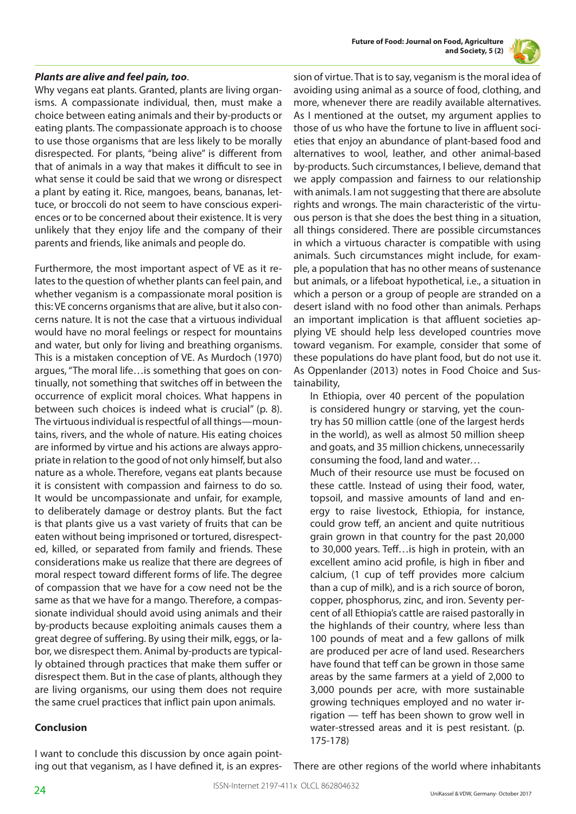

## *Plants are alive and feel pain, too*.

Why vegans eat plants. Granted, plants are living organisms. A compassionate individual, then, must make a choice between eating animals and their by-products or eating plants. The compassionate approach is to choose to use those organisms that are less likely to be morally disrespected. For plants, "being alive" is different from that of animals in a way that makes it difficult to see in what sense it could be said that we wrong or disrespect a plant by eating it. Rice, mangoes, beans, bananas, lettuce, or broccoli do not seem to have conscious experiences or to be concerned about their existence. It is very unlikely that they enjoy life and the company of their parents and friends, like animals and people do.

Furthermore, the most important aspect of VE as it relates to the question of whether plants can feel pain, and whether veganism is a compassionate moral position is this: VE concerns organisms that are alive, but it also concerns nature. It is not the case that a virtuous individual would have no moral feelings or respect for mountains and water, but only for living and breathing organisms. This is a mistaken conception of VE. As Murdoch (1970) argues, "The moral life…is something that goes on continually, not something that switches off in between the occurrence of explicit moral choices. What happens in between such choices is indeed what is crucial" (p. 8). The virtuous individual is respectful of all things—mountains, rivers, and the whole of nature. His eating choices are informed by virtue and his actions are always appropriate in relation to the good of not only himself, but also nature as a whole. Therefore, vegans eat plants because it is consistent with compassion and fairness to do so. It would be uncompassionate and unfair, for example, to deliberately damage or destroy plants. But the fact is that plants give us a vast variety of fruits that can be eaten without being imprisoned or tortured, disrespected, killed, or separated from family and friends. These considerations make us realize that there are degrees of moral respect toward different forms of life. The degree of compassion that we have for a cow need not be the same as that we have for a mango. Therefore, a compassionate individual should avoid using animals and their by-products because exploiting animals causes them a great degree of suffering. By using their milk, eggs, or labor, we disrespect them. Animal by-products are typically obtained through practices that make them suffer or disrespect them. But in the case of plants, although they are living organisms, our using them does not require the same cruel practices that inflict pain upon animals.

## **Conclusion**

I want to conclude this discussion by once again pointing out that veganism, as I have defined it, is an expression of virtue. That is to say, veganism is the moral idea of avoiding using animal as a source of food, clothing, and more, whenever there are readily available alternatives. As I mentioned at the outset, my argument applies to those of us who have the fortune to live in affluent societies that enjoy an abundance of plant-based food and alternatives to wool, leather, and other animal-based by-products. Such circumstances, I believe, demand that we apply compassion and fairness to our relationship with animals. I am not suggesting that there are absolute rights and wrongs. The main characteristic of the virtuous person is that she does the best thing in a situation, all things considered. There are possible circumstances in which a virtuous character is compatible with using animals. Such circumstances might include, for example, a population that has no other means of sustenance but animals, or a lifeboat hypothetical, i.e., a situation in which a person or a group of people are stranded on a desert island with no food other than animals. Perhaps an important implication is that affluent societies applying VE should help less developed countries move toward veganism. For example, consider that some of these populations do have plant food, but do not use it. As Oppenlander (2013) notes in Food Choice and Sustainability,

In Ethiopia, over 40 percent of the population is considered hungry or starving, yet the country has 50 million cattle (one of the largest herds in the world), as well as almost 50 million sheep and goats, and 35 million chickens, unnecessarily consuming the food, land and water… Much of their resource use must be focused on these cattle. Instead of using their food, water, topsoil, and massive amounts of land and energy to raise livestock, Ethiopia, for instance, could grow teff, an ancient and quite nutritious grain grown in that country for the past 20,000 to 30,000 years. Teff…is high in protein, with an excellent amino acid profile, is high in fiber and

calcium, (1 cup of teff provides more calcium than a cup of milk), and is a rich source of boron, copper, phosphorus, zinc, and iron. Seventy percent of all Ethiopia's cattle are raised pastorally in the highlands of their country, where less than 100 pounds of meat and a few gallons of milk are produced per acre of land used. Researchers have found that teff can be grown in those same areas by the same farmers at a yield of 2,000 to 3,000 pounds per acre, with more sustainable growing techniques employed and no water irrigation — teff has been shown to grow well in water-stressed areas and it is pest resistant. (p. 175-178)

There are other regions of the world where inhabitants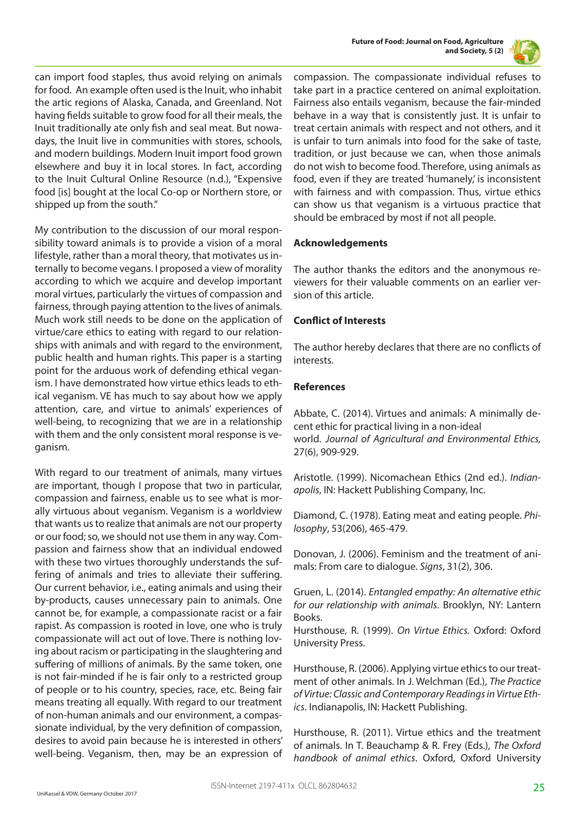



can import food staples, thus avoid relying on animals for food. An example often used is the Inuit, who inhabit the artic regions of Alaska, Canada, and Greenland. Not having fields suitable to grow food for all their meals, the Inuit traditionally ate only fish and seal meat. But nowadays, the Inuit live in communities with stores, schools, and modern buildings. Modern Inuit import food grown elsewhere and buy it in local stores. In fact, according to the Inuit Cultural Online Resource (n.d.), "Expensive food [is] bought at the local Co-op or Northern store, or shipped up from the south."

My contribution to the discussion of our moral responsibility toward animals is to provide a vision of a moral lifestyle, rather than a moral theory, that motivates us internally to become vegans. I proposed a view of morality according to which we acquire and develop important moral virtues, particularly the virtues of compassion and fairness, through paying attention to the lives of animals. Much work still needs to be done on the application of virtue/care ethics to eating with regard to our relationships with animals and with regard to the environment, public health and human rights. This paper is a starting point for the arduous work of defending ethical veganism. I have demonstrated how virtue ethics leads to ethical veganism. VE has much to say about how we apply attention, care, and virtue to animals' experiences of well-being, to recognizing that we are in a relationship with them and the only consistent moral response is veganism.

With regard to our treatment of animals, many virtues are important, though I propose that two in particular, compassion and fairness, enable us to see what is morally virtuous about veganism. Veganism is a worldview that wants us to realize that animals are not our property or our food; so, we should not use them in any way. Compassion and fairness show that an individual endowed with these two virtues thoroughly understands the suffering of animals and tries to alleviate their suffering. Our current behavior, i.e., eating animals and using their by-products, causes unnecessary pain to animals. One cannot be, for example, a compassionate racist or a fair rapist. As compassion is rooted in love, one who is truly compassionate will act out of love. There is nothing loving about racism or participating in the slaughtering and suffering of millions of animals. By the same token, one is not fair-minded if he is fair only to a restricted group of people or to his country, species, race, etc. Being fair means treating all equally. With regard to our treatment of non-human animals and our environment, a compassionate individual, by the very definition of compassion, desires to avoid pain because he is interested in others' well-being. Veganism, then, may be an expression of

compassion. The compassionate individual refuses to take part in a practice centered on animal exploitation. Fairness also entails veganism, because the fair-minded behave in a way that is consistently just. It is unfair to treat certain animals with respect and not others, and it is unfair to turn animals into food for the sake of taste, tradition, or just because we can, when those animals do not wish to become food. Therefore, using animals as food, even if they are treated 'humanely,' is inconsistent with fairness and with compassion. Thus, virtue ethics can show us that veganism is a virtuous practice that should be embraced by most if not all people.

## **Acknowledgements**

The author thanks the editors and the anonymous reviewers for their valuable comments on an earlier version of this article.

# **Conflict of Interests**

The author hereby declares that there are no conflicts of interests.

## **References**

Abbate, C. (2014). Virtues and animals: A minimally decent ethic for practical living in a non-ideal world. *Journal of Agricultural and Environmental Ethics,* 27(6), 909-929.

Aristotle. (1999). Nicomachean Ethics (2nd ed.). *Indianapolis*, IN: Hackett Publishing Company, Inc.

Diamond, C. (1978). Eating meat and eating people. *Philosophy*, 53(206), 465-479.

Donovan, J. (2006). Feminism and the treatment of animals: From care to dialogue. *Signs*, 31(2), 306.

Gruen, L. (2014). *Entangled empathy: An alternative ethic for our relationship with animals*. Brooklyn, NY: Lantern Books.

Hursthouse, R. (1999). *On Virtue Ethics.* Oxford: Oxford University Press.

Hursthouse, R. (2006). Applying virtue ethics to our treatment of other animals. In J. Welchman (Ed.), *The Practice of Virtue: Classic and Contemporary Readings in Virtue Ethics*. Indianapolis, IN: Hackett Publishing.

Hursthouse, R. (2011). Virtue ethics and the treatment of animals. In T. Beauchamp & R. Frey (Eds.), *The Oxford handbook of animal ethics*. Oxford, Oxford University